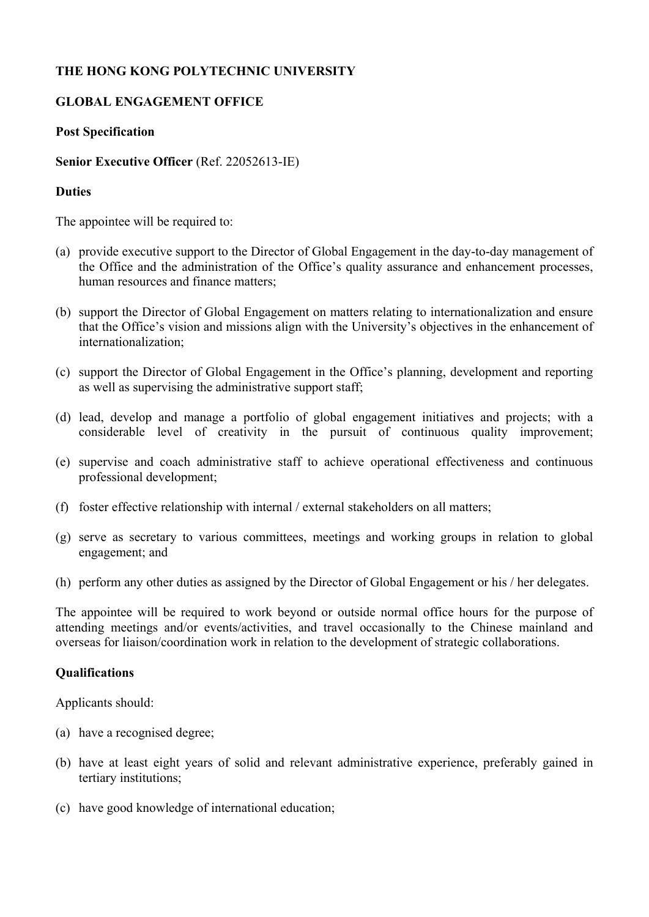# **THE HONG KONG POLYTECHNIC UNIVERSITY**

## **GLOBAL ENGAGEMENT OFFICE**

## **Post Specification**

## **Senior Executive Officer** (Ref. 22052613-IE)

## **Duties**

The appointee will be required to:

- (a) provide executive support to the Director of Global Engagement in the day-to-day management of the Office and the administration of the Office's quality assurance and enhancement processes, human resources and finance matters;
- (b) support the Director of Global Engagement on matters relating to internationalization and ensure that the Office's vision and missions align with the University's objectives in the enhancement of internationalization;
- (c) support the Director of Global Engagement in the Office's planning, development and reporting as well as supervising the administrative support staff;
- (d) lead, develop and manage a portfolio of global engagement initiatives and projects; with a considerable level of creativity in the pursuit of continuous quality improvement;
- (e) supervise and coach administrative staff to achieve operational effectiveness and continuous professional development;
- (f) foster effective relationship with internal / external stakeholders on all matters;
- (g) serve as secretary to various committees, meetings and working groups in relation to global engagement; and
- (h) perform any other duties as assigned by the Director of Global Engagement or his / her delegates.

The appointee will be required to work beyond or outside normal office hours for the purpose of attending meetings and/or events/activities, and travel occasionally to the Chinese mainland and overseas for liaison/coordination work in relation to the development of strategic collaborations.

#### **Qualifications**

Applicants should:

- (a) have a recognised degree;
- (b) have at least eight years of solid and relevant administrative experience, preferably gained in tertiary institutions;
- (c) have good knowledge of international education;